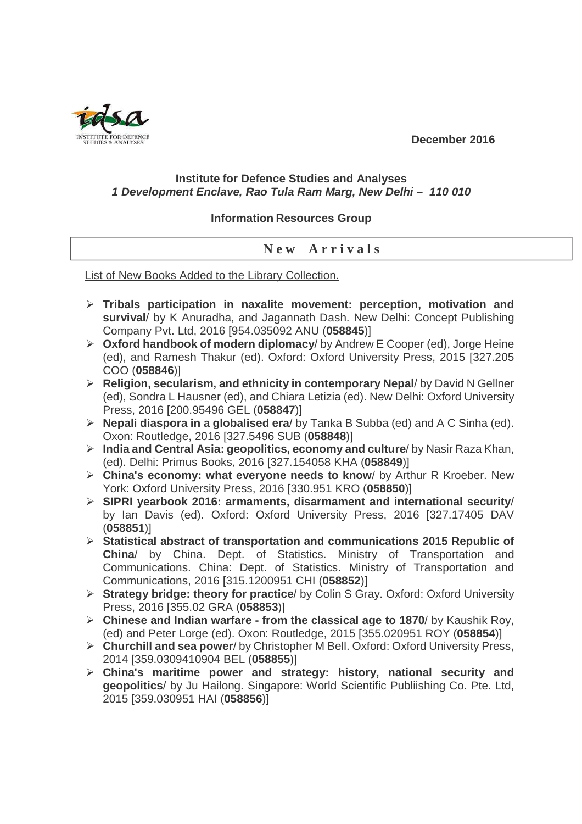**December 2016** 



## **Institute for Defence Studies and Analyses 1 Development Enclave, Rao Tula Ram Marg, New Delhi – 110 010**

## **Information Resources Group**

## **N e w A r r i v a l s**

List of New Books Added to the Library Collection.

- **Tribals participation in naxalite movement: perception, motivation and survival**/ by K Anuradha, and Jagannath Dash. New Delhi: Concept Publishing Company Pvt. Ltd, 2016 [954.035092 ANU (**058845**)]
- **Oxford handbook of modern diplomacy**/ by Andrew E Cooper (ed), Jorge Heine (ed), and Ramesh Thakur (ed). Oxford: Oxford University Press, 2015 [327.205 COO (**058846**)]
- **Religion, secularism, and ethnicity in contemporary Nepal**/ by David N Gellner (ed), Sondra L Hausner (ed), and Chiara Letizia (ed). New Delhi: Oxford University Press, 2016 [200.95496 GEL (**058847**)]
- **Nepali diaspora in a globalised era**/ by Tanka B Subba (ed) and A C Sinha (ed). Oxon: Routledge, 2016 [327.5496 SUB (**058848**)]
- **India and Central Asia: geopolitics, economy and culture**/ by Nasir Raza Khan, (ed). Delhi: Primus Books, 2016 [327.154058 KHA (**058849**)]
- **China's economy: what everyone needs to know**/ by Arthur R Kroeber. New York: Oxford University Press, 2016 [330.951 KRO (**058850**)]
- **SIPRI yearbook 2016: armaments, disarmament and international security**/ by Ian Davis (ed). Oxford: Oxford University Press, 2016 [327.17405 DAV (**058851**)]
- **Statistical abstract of transportation and communications 2015 Republic of China**/ by China. Dept. of Statistics. Ministry of Transportation and Communications. China: Dept. of Statistics. Ministry of Transportation and Communications, 2016 [315.1200951 CHI (**058852**)]
- **Strategy bridge: theory for practice**/ by Colin S Gray. Oxford: Oxford University Press, 2016 [355.02 GRA (**058853**)]
- **Chinese and Indian warfare from the classical age to 1870**/ by Kaushik Roy, (ed) and Peter Lorge (ed). Oxon: Routledge, 2015 [355.020951 ROY (**058854**)]
- **Churchill and sea power**/ by Christopher M Bell. Oxford: Oxford University Press, 2014 [359.0309410904 BEL (**058855**)]
- **China's maritime power and strategy: history, national security and geopolitics**/ by Ju Hailong. Singapore: World Scientific Publiishing Co. Pte. Ltd, 2015 [359.030951 HAI (**058856**)]